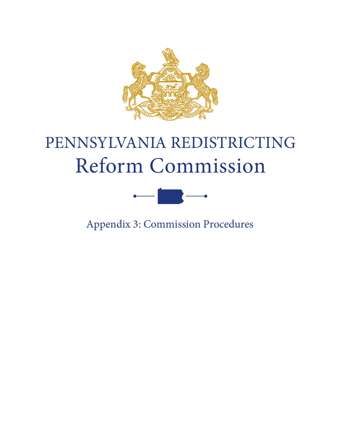

## PENNSYLVANIA REDISTRICTING Reform Commission



Appendix 3: Commission Procedures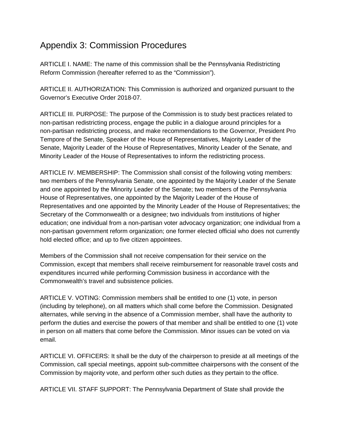## Appendix 3: Commission Procedures

ARTICLE I. NAME: The name of this commission shall be the Pennsylvania Redistricting Reform Commission (hereafter referred to as the "Commission").

ARTICLE II. AUTHORIZATION: This Commission is authorized and organized pursuant to the Governor's Executive Order 2018-07.

ARTICLE III. PURPOSE: The purpose of the Commission is to study best practices related to non-partisan redistricting process, engage the public in a dialogue around principles for a non-partisan redistricting process, and make recommendations to the Governor, President Pro Tempore of the Senate, Speaker of the House of Representatives, Majority Leader of the Senate, Majority Leader of the House of Representatives, Minority Leader of the Senate, and Minority Leader of the House of Representatives to inform the redistricting process.

ARTICLE IV. MEMBERSHIP: The Commission shall consist of the following voting members: two members of the Pennsylvania Senate, one appointed by the Majority Leader of the Senate and one appointed by the Minority Leader of the Senate; two members of the Pennsylvania House of Representatives, one appointed by the Majority Leader of the House of Representatives and one appointed by the Minority Leader of the House of Representatives; the Secretary of the Commonwealth or a designee; two individuals from institutions of higher education; one individual from a non-partisan voter advocacy organization; one individual from a non-partisan government reform organization; one former elected official who does not currently hold elected office; and up to five citizen appointees.

Members of the Commission shall not receive compensation for their service on the Commission, except that members shall receive reimbursement for reasonable travel costs and expenditures incurred while performing Commission business in accordance with the Commonwealth's travel and subsistence policies.

ARTICLE V. VOTING: Commission members shall be entitled to one (1) vote, in person (including by telephone), on all matters which shall come before the Commission. Designated alternates, while serving in the absence of a Commission member, shall have the authority to perform the duties and exercise the powers of that member and shall be entitled to one (1) vote in person on all matters that come before the Commission. Minor issues can be voted on via email.

ARTICLE VI. OFFICERS: It shall be the duty of the chairperson to preside at all meetings of the Commission, call special meetings, appoint sub-committee chairpersons with the consent of the Commission by majority vote, and perform other such duties as they pertain to the office.

ARTICLE VII. STAFF SUPPORT: The Pennsylvania Department of State shall provide the